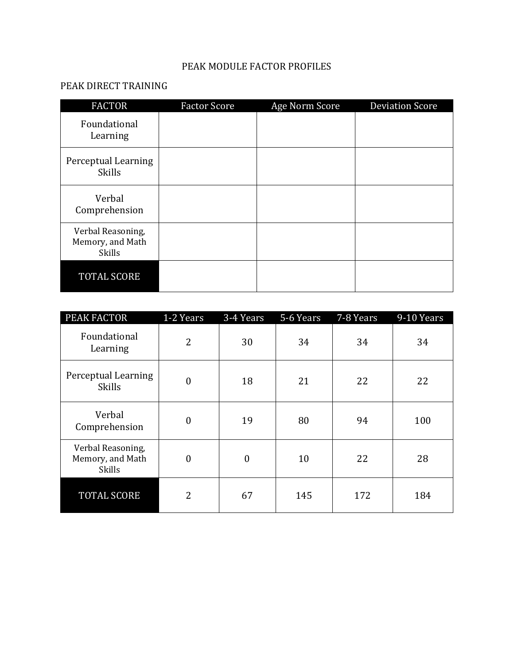## PEAK MODULE FACTOR PROFILES

## PEAK DIRECT TRAINING

| <b>FACTOR</b>                                          | <b>Factor Score</b> | Age Norm Score | <b>Deviation Score</b> |
|--------------------------------------------------------|---------------------|----------------|------------------------|
| Foundational<br>Learning                               |                     |                |                        |
| Perceptual Learning<br><b>Skills</b>                   |                     |                |                        |
| Verbal<br>Comprehension                                |                     |                |                        |
| Verbal Reasoning,<br>Memory, and Math<br><b>Skills</b> |                     |                |                        |
| TOTAL SCORE                                            |                     |                |                        |

| PEAK FACTOR                                            | 1-2 Years        | 3-4 Years    | 5-6 Years | 7-8 Years | 9-10 Years |
|--------------------------------------------------------|------------------|--------------|-----------|-----------|------------|
| Foundational<br>Learning                               | $\overline{2}$   | 30           | 34        | 34        | 34         |
| Perceptual Learning<br><b>Skills</b>                   | $\boldsymbol{0}$ | 18           | 21        | 22        | 22         |
| Verbal<br>Comprehension                                | $\boldsymbol{0}$ | 19           | 80        | 94        | 100        |
| Verbal Reasoning,<br>Memory, and Math<br><b>Skills</b> | $\boldsymbol{0}$ | $\mathbf{0}$ | 10        | 22        | 28         |
| <b>TOTAL SCORE</b>                                     | $\overline{2}$   | 67           | 145       | 172       | 184        |